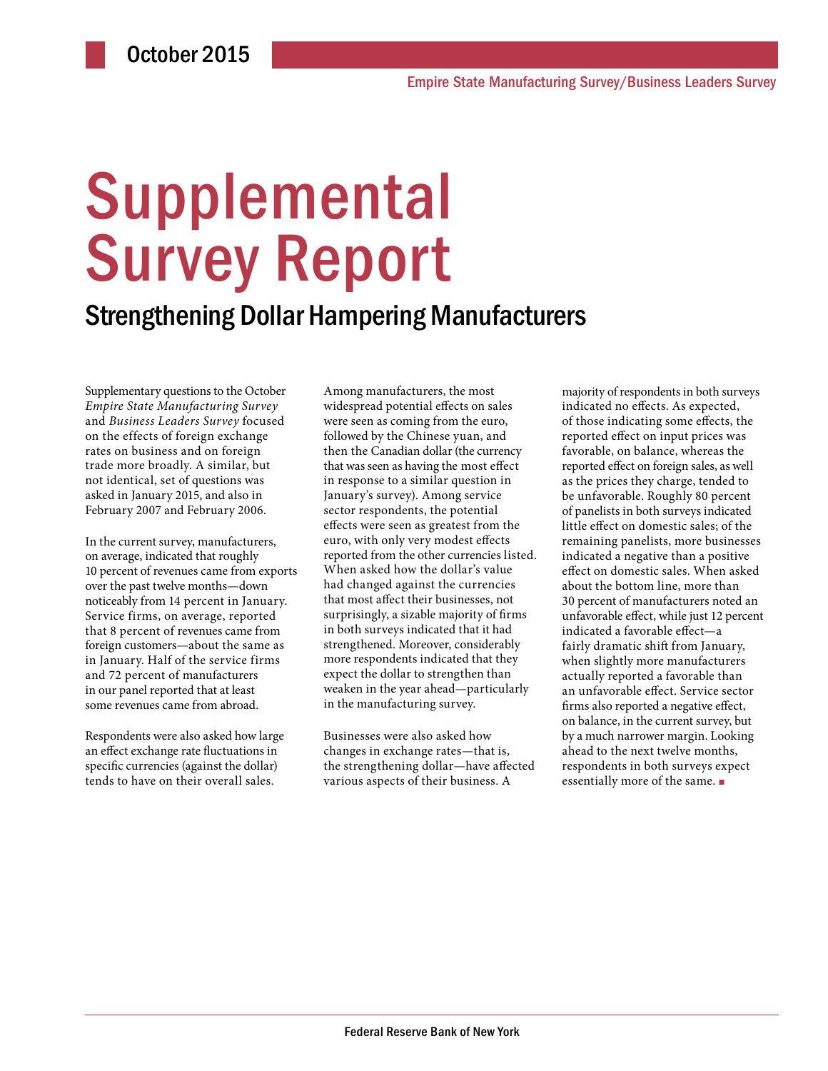# **Supplemental** Survey Report

### Strengthening Dollar Hampering Manufacturers

Supplementary questions to the October *Empire State Manufacturing Survey* and *Business Leaders Survey* focused on the effects of foreign exchange rates on business and on foreign trade more broadly. A similar, but not identical, set of questions was asked in January 2015, and also in February 2007 and February 2006.

In the current survey, manufacturers, on average, indicated that roughly 10 percent of revenues came from exports over the past twelve months—down noticeably from 14 percent in January. Service firms, on average, reported that 8 percent of revenues came from foreign customers—about the same as in January. Half of the service firms and 72 percent of manufacturers in our panel reported that at least some revenues came from abroad.

Respondents were also asked how large an effect exchange rate fluctuations in specific currencies (against the dollar) tends to have on their overall sales.

Among manufacturers, the most widespread potential effects on sales were seen as coming from the euro, followed by the Chinese yuan, and then the Canadian dollar (the currency that was seen as having the most effect in response to a similar question in January's survey). Among service sector respondents, the potential effects were seen as greatest from the euro, with only very modest effects reported from the other currencies listed. When asked how the dollar's value had changed against the currencies that most affect their businesses, not surprisingly, a sizable majority of firms in both surveys indicated that it had strengthened. Moreover, considerably more respondents indicated that they expect the dollar to strengthen than weaken in the year ahead—particularly in the manufacturing survey.

Businesses were also asked how changes in exchange rates—that is, the strengthening dollar—have affected various aspects of their business. A

majority of respondents in both surveys indicated no effects. As expected, of those indicating some effects, the reported effect on input prices was favorable, on balance, whereas the reported effect on foreign sales, as well as the prices they charge, tended to be unfavorable. Roughly 80 percent of panelists in both surveys indicated little effect on domestic sales; of the remaining panelists, more businesses indicated a negative than a positive effect on domestic sales. When asked about the bottom line, more than 30 percent of manufacturers noted an unfavorable effect, while just 12 percent indicated a favorable effect—a fairly dramatic shift from January, when slightly more manufacturers actually reported a favorable than an unfavorable effect. Service sector firms also reported a negative effect, on balance, in the current survey, but by a much narrower margin. Looking ahead to the next twelve months, respondents in both surveys expect essentially more of the same. ■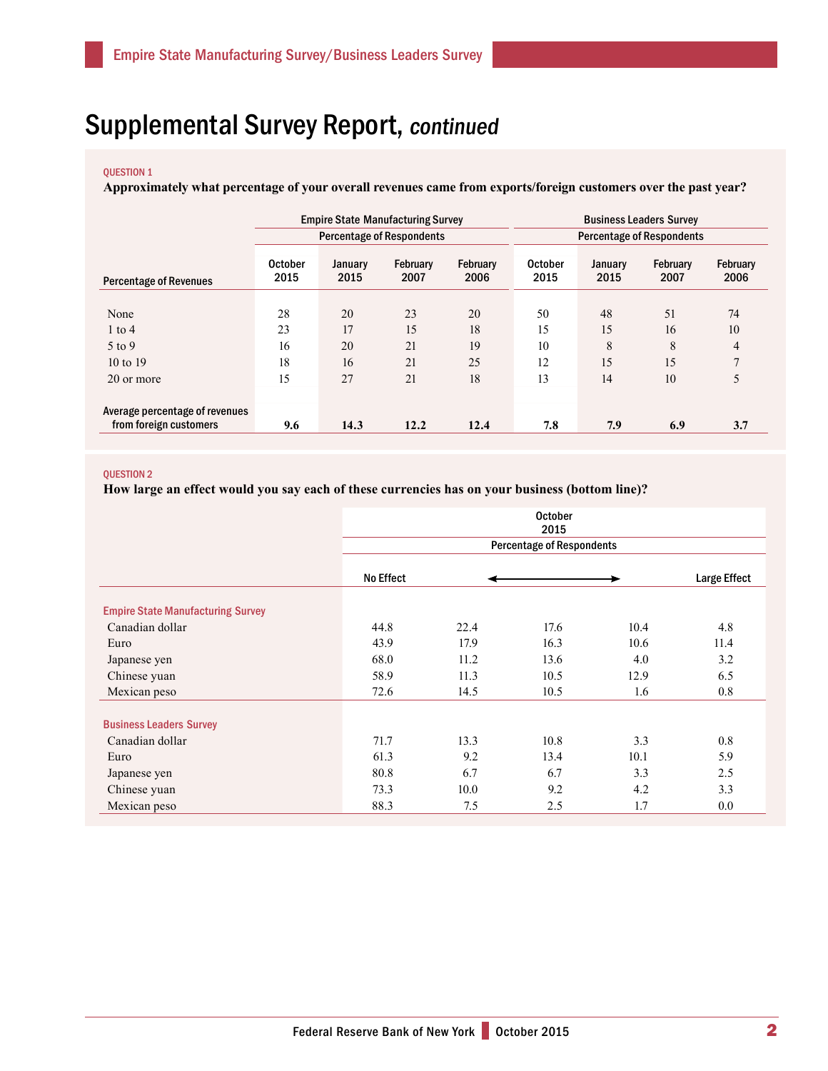## Supplemental Survey Report, continued

### QUESTION 1

**Approximately what percentage of your overall revenues came from exports/foreign customers over the past year?**

|                                                          |                        |                 | <b>Empire State Manufacturing Survey</b> |                         | <b>Business Leaders Survey</b>   |                 |                  |                  |  |  |
|----------------------------------------------------------|------------------------|-----------------|------------------------------------------|-------------------------|----------------------------------|-----------------|------------------|------------------|--|--|
|                                                          |                        |                 | <b>Percentage of Respondents</b>         |                         | <b>Percentage of Respondents</b> |                 |                  |                  |  |  |
| <b>Percentage of Revenues</b>                            | <b>October</b><br>2015 | January<br>2015 | February<br>2007                         | <b>February</b><br>2006 | <b>October</b><br>2015           | January<br>2015 | February<br>2007 | February<br>2006 |  |  |
| None                                                     | 28                     | 20              | 23                                       | 20                      | 50                               | 48              | 51               | 74               |  |  |
| $1$ to $4$                                               | 23                     | 17              | 15                                       | 18                      | 15                               | 15              | 16               | 10               |  |  |
| 5 to 9                                                   | 16                     | 20              | 21                                       | 19                      | 10                               | 8               | 8                | 4                |  |  |
| $10 \text{ to } 19$                                      | 18                     | 16              | 21                                       | 25                      | 12                               | 15              | 15               | $\mathbf{7}$     |  |  |
| 20 or more                                               | 15                     | 27              | 21                                       | 18                      | 13                               | 14              | 10               | 5                |  |  |
| Average percentage of revenues<br>from foreign customers | 9.6                    | 14.3            | 12.2                                     | 12.4                    | 7.8                              | 7.9             | 6.9              | 3.7              |  |  |

#### QUESTION 2

**How large an effect would you say each of these currencies has on your business (bottom line)?**

|                                          | <b>October</b><br>2015 |                                  |                     |      |      |  |  |  |  |  |  |  |
|------------------------------------------|------------------------|----------------------------------|---------------------|------|------|--|--|--|--|--|--|--|
|                                          |                        | <b>Percentage of Respondents</b> |                     |      |      |  |  |  |  |  |  |  |
|                                          | <b>No Effect</b>       |                                  | <b>Large Effect</b> |      |      |  |  |  |  |  |  |  |
| <b>Empire State Manufacturing Survey</b> |                        |                                  |                     |      |      |  |  |  |  |  |  |  |
| Canadian dollar                          | 44.8                   | 22.4                             | 17.6                | 10.4 | 4.8  |  |  |  |  |  |  |  |
| Euro                                     | 43.9                   | 17.9                             | 16.3                | 10.6 | 11.4 |  |  |  |  |  |  |  |
| Japanese yen                             | 68.0                   | 11.2                             | 13.6                | 4.0  | 3.2  |  |  |  |  |  |  |  |
| Chinese yuan                             | 58.9                   | 11.3                             | 10.5                | 12.9 | 6.5  |  |  |  |  |  |  |  |
| Mexican peso                             | 72.6                   | 14.5                             | 10.5                | 1.6  | 0.8  |  |  |  |  |  |  |  |
| <b>Business Leaders Survey</b>           |                        |                                  |                     |      |      |  |  |  |  |  |  |  |
| Canadian dollar                          | 71.7                   | 13.3                             | 10.8                | 3.3  | 0.8  |  |  |  |  |  |  |  |
| Euro                                     | 61.3                   | 9.2                              | 13.4                | 10.1 | 5.9  |  |  |  |  |  |  |  |
| Japanese yen                             | 80.8                   | 6.7                              | 6.7                 | 3.3  | 2.5  |  |  |  |  |  |  |  |
| Chinese yuan                             | 73.3                   | 10.0                             | 9.2                 | 4.2  | 3.3  |  |  |  |  |  |  |  |
| Mexican peso                             | 88.3                   | 7.5                              | 2.5                 | 1.7  | 0.0  |  |  |  |  |  |  |  |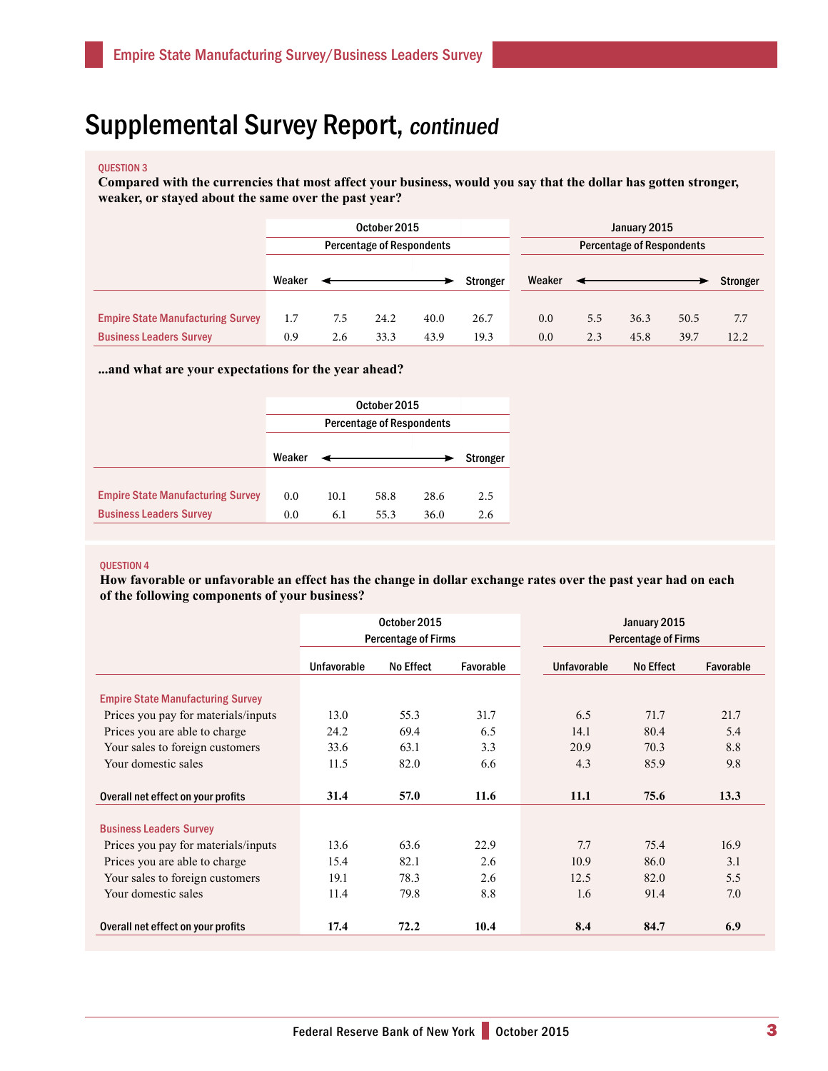### Supplemental Survey Report, continued

#### QUESTION 3

**Compared with the currencies that most affect your business, would you say that the dollar has gotten stronger, weaker, or stayed about the same over the past year?**

|                                          | October 2015                     |     |      |      | January 2015 |                           |     |      |      |          |  |
|------------------------------------------|----------------------------------|-----|------|------|--------------|---------------------------|-----|------|------|----------|--|
|                                          | <b>Percentage of Respondents</b> |     |      |      |              | Percentage of Respondents |     |      |      |          |  |
|                                          |                                  |     |      |      |              |                           |     |      |      |          |  |
|                                          | Weaker                           |     |      |      | Stronger     | Weaker                    |     |      |      | Stronger |  |
|                                          |                                  |     |      |      |              |                           |     |      |      |          |  |
| <b>Empire State Manufacturing Survey</b> | 1.7                              | 7.5 | 24.2 | 40.0 | 26.7         | 0.0                       | 5.5 | 36.3 | 50.5 | 7.7      |  |
| <b>Business Leaders Survey</b>           | 0.9                              | 2.6 | 33.3 | 43.9 | 19.3         | 0.0                       | 2.3 | 45.8 | 39.7 | 12.2     |  |

**...and what are your expectations for the year ahead?**

|                                          | Weaker |      |      |      | Stronger |  |  |  |  |
|------------------------------------------|--------|------|------|------|----------|--|--|--|--|
|                                          |        |      |      |      |          |  |  |  |  |
| <b>Empire State Manufacturing Survey</b> | 0.0    | 10.1 | 58.8 | 28.6 | 2.5      |  |  |  |  |
| <b>Business Leaders Survey</b>           | 0.0    | 6.1  | 55.3 | 36.0 | 2.6      |  |  |  |  |

#### QUESTION 4

**How favorable or unfavorable an effect has the change in dollar exchange rates over the past year had on each of the following components of your business?** 

|                                          | <b>Percentage of Firms</b> | January 2015<br><b>Percentage of Firms</b> |           |             |     |                  |           |
|------------------------------------------|----------------------------|--------------------------------------------|-----------|-------------|-----|------------------|-----------|
|                                          | <b>Unfavorable</b>         | <b>No Effect</b>                           | Favorable | Unfavorable |     | <b>No Effect</b> | Favorable |
| <b>Empire State Manufacturing Survey</b> |                            |                                            |           |             |     |                  |           |
| Prices you pay for materials/inputs      | 13.0                       | 55.3                                       | 31.7      | 6.5         |     | 71.7             | 21.7      |
| Prices you are able to charge            | 24.2                       | 69.4                                       | 6.5       | 14.1        |     | 80.4             | 5.4       |
| Your sales to foreign customers          | 33.6                       | 63.1                                       | 3.3       | 20.9        |     | 70.3             | 8.8       |
| Your domestic sales                      | 11.5                       | 82.0                                       | 6.6       | 4.3         |     | 85.9             | 9.8       |
| Overall net effect on your profits       | 31.4                       | 57.0                                       | 11.6      | 11.1        |     | 75.6             | 13.3      |
| <b>Business Leaders Survey</b>           |                            |                                            |           |             |     |                  |           |
| Prices you pay for materials/inputs      | 13.6                       | 63.6                                       | 22.9      | 7.7         |     | 75.4             | 16.9      |
| Prices you are able to charge            | 15.4                       | 82.1                                       | 2.6       | 10.9        |     | 86.0             | 3.1       |
| Your sales to foreign customers          | 19.1                       | 78.3                                       | 2.6       | 12.5        |     | 82.0             | 5.5       |
| Your domestic sales                      | 11.4                       | 79.8                                       | 8.8       |             | 1.6 | 91.4             | 7.0       |
| Overall net effect on your profits       | 17.4                       | 72.2                                       | 10.4      | 8.4         |     | 84.7             | 6.9       |